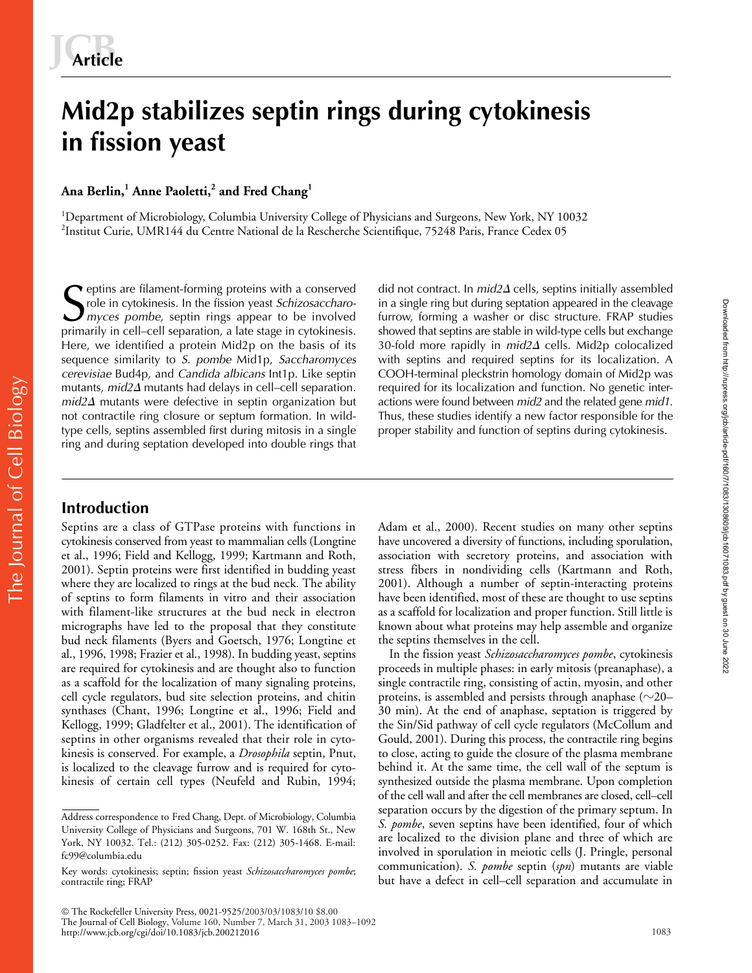# **Mid2p stabilizes septin rings during cytokinesis in fission yeast**

**Ana Berlin,<sup>1</sup> Anne Paoletti,<sup>2</sup> and Fred Chang<sup>1</sup>**

<sup>1</sup>Department of Microbiology, Columbia University College of Physicians and Surgeons, New York, NY 10032 2 Institut Curie, UMR144 du Centre National de la Rescherche Scientifique, 75248 Paris, France Cedex 05

eptins are filament-forming proteins with a conserved role in cytokinesis. In the fission yeast *Schizosaccharo-***S** eptins are filament-forming proteins with a conserved did not contract. In  $mid2\Delta$  role in cytokinesis. In the fission yeast *Schizosaccharo* in a single ring but during some *myces pombe*, septin rings appear to be in primarily in cell–cell separation, a late stage in cytokinesis. Here, we identified a protein Mid2p on the basis of its sequence similarity to *S. pombe* Mid1p, *Saccharomyces cerevisiae* Bud4p, and *Candida albicans* Int1p. Like septin mutants*, mid2*∆ mutants had delays in cell–cell separation. *mid2*- mutants were defective in septin organization but not contractile ring closure or septum formation. In wildtype cells, septins assembled first during mitosis in a single ring and during septation developed into double rings that

did not contract. In  $mid2\Delta$  cells, septins initially assembled in a single ring but during septation appeared in the cleavage furrow, forming a washer or disc structure. FRAP studies showed that septins are stable in wild-type cells but exchange 30-fold more rapidly in *mid2*- cells. Mid2p colocalized with septins and required septins for its localization. A COOH-terminal pleckstrin homology domain of Mid2p was required for its localization and function. No genetic interactions were found between *mid2* and the related gene *mid1*. Thus, these studies identify a new factor responsible for the proper stability and function of septins during cytokinesis.

# The Journal of Cell Biology The Journal of Cell Biology

# **Introduction**

Septins are a class of GTPase proteins with functions in cytokinesis conserved from yeast to mammalian cells (Longtine et al., 1996; Field and Kellogg, 1999; Kartmann and Roth, 2001). Septin proteins were first identified in budding yeast where they are localized to rings at the bud neck. The ability of septins to form filaments in vitro and their association with filament-like structures at the bud neck in electron micrographs have led to the proposal that they constitute bud neck filaments (Byers and Goetsch, 1976; Longtine et al., 1996, 1998; Frazier et al., 1998). In budding yeast, septins are required for cytokinesis and are thought also to function as a scaffold for the localization of many signaling proteins, cell cycle regulators, bud site selection proteins, and chitin synthases (Chant, 1996; Longtine et al., 1996; Field and Kellogg, 1999; Gladfelter et al., 2001). The identification of septins in other organisms revealed that their role in cytokinesis is conserved. For example, a *Drosophila* septin, Pnut, is localized to the cleavage furrow and is required for cytokinesis of certain cell types (Neufeld and Rubin, 1994; Adam et al., 2000). Recent studies on many other septins have uncovered a diversity of functions, including sporulation, association with secretory proteins, and association with stress fibers in nondividing cells (Kartmann and Roth, 2001). Although a number of septin-interacting proteins have been identified, most of these are thought to use septins as a scaffold for localization and proper function. Still little is known about what proteins may help assemble and organize the septins themselves in the cell.

In the fission yeast *Schizosaccharomyces pombe*, cytokinesis proceeds in multiple phases: in early mitosis (preanaphase), a single contractile ring, consisting of actin, myosin, and other proteins, is assembled and persists through anaphase ( ${\sim}20-$ 30 min). At the end of anaphase, septation is triggered by the Sin/Sid pathway of cell cycle regulators (McCollum and Gould, 2001). During this process, the contractile ring begins to close, acting to guide the closure of the plasma membrane behind it. At the same time, the cell wall of the septum is synthesized outside the plasma membrane. Upon completion of the cell wall and after the cell membranes are closed, cell–cell separation occurs by the digestion of the primary septum. In *S. pombe*, seven septins have been identified, four of which are localized to the division plane and three of which are involved in sporulation in meiotic cells (J. Pringle, personal communication). *S. pombe* septin (*spn*) mutants are viable but have a defect in cell–cell separation and accumulate in

Address correspondence to Fred Chang, Dept. of Microbiology, Columbia University College of Physicians and Surgeons, 701 W. 168th St., New York, NY 10032. Tel.: (212) 305-0252. Fax: (212) 305-1468. E-mail: fc99@columbia.edu

Key words: cytokinesis; septin; fission yeast *Schizosaccharomyces pombe*; contractile ring; FRAP

The Rockefeller University Press, 0021-9525/2003/03/1083/10 \$8.00 The Journal of Cell Biology, Volume 160, Number 7, March 31, 2003 1083–1092 http://www.jcb.org/cgi/doi/10.1083/jcb.200212016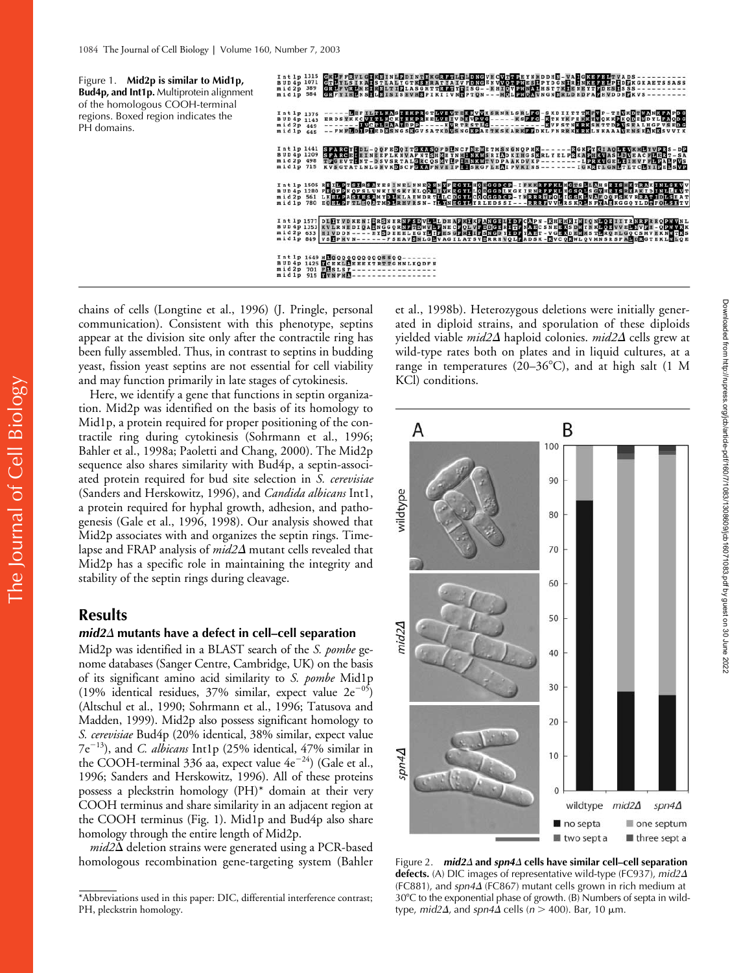

chains of cells (Longtine et al., 1996) (J. Pringle, personal communication). Consistent with this phenotype, septins appear at the division site only after the contractile ring has been fully assembled. Thus, in contrast to septins in budding yeast, fission yeast septins are not essential for cell viability and may function primarily in late stages of cytokinesis.

Here, we identify a gene that functions in septin organization. Mid2p was identified on the basis of its homology to Mid1p, a protein required for proper positioning of the contractile ring during cytokinesis (Sohrmann et al., 1996; Bahler et al., 1998a; Paoletti and Chang, 2000). The Mid2p sequence also shares similarity with Bud4p, a septin-associated protein required for bud site selection in *S. cerevisiae* (Sanders and Herskowitz, 1996), and *Candida albicans* Int1, a protein required for hyphal growth, adhesion, and pathogenesis (Gale et al., 1996, 1998). Our analysis showed that Mid2p associates with and organizes the septin rings. Timelapse and FRAP analysis of  $mid2\varDelta$  mutant cells revealed that Mid2p has a specific role in maintaining the integrity and stability of the septin rings during cleavage.

# **Results**

# *mid2*- **mutants have a defect in cell–cell separation**

Mid2p was identified in a BLAST search of the *S. pombe* genome databases (Sanger Centre, Cambridge, UK) on the basis of its significant amino acid similarity to *S. pombe* Mid1p (19% identical residues,  $37\%$  similar, expect value  $2e^{-05}$ ) (Altschul et al., 1990; Sohrmann et al., 1996; Tatusova and Madden, 1999). Mid2p also possess significant homology to *S. cerevisiae* Bud4p (20% identical, 38% similar, expect value  $7e^{-13}$ ), and *C. albicans* Int1p (25% identical, 47% similar in the COOH-terminal 336 aa, expect value  $4e^{-24}$ ) (Gale et al., 1996; Sanders and Herskowitz, 1996). All of these proteins possess a pleckstrin homology (PH)\* domain at their very COOH terminus and share similarity in an adjacent region at the COOH terminus (Fig. 1). Mid1p and Bud4p also share homology through the entire length of Mid2p.

mid2 $\Delta$  deletion strains were generated using a PCR-based homologous recombination gene-targeting system (Bahler

et al., 1998b). Heterozygous deletions were initially generated in diploid strains, and sporulation of these diploids yielded viable *mid2*- haploid colonies. *mid2*- cells grew at wild-type rates both on plates and in liquid cultures, at a range in temperatures (20–36 $^{\circ}$ C), and at high salt (1 M KCl) conditions.



Figure 2. *mid2∆* **and** *spn4∆* **cells have similar cell–cell separation defects.** (A) DIC images of representative wild-type (FC937), *mid2*- (FC881), and *spn4*- (FC867) mutant cells grown in rich medium at 30°C to the exponential phase of growth. (B) Numbers of septa in wildtype*, mid2Δ,* and *spn4Δ* cells (*n* > 400). Bar, 10 μm.

<sup>\*</sup>Abbreviations used in this paper: DIC, differential interference contrast; PH, pleckstrin homology.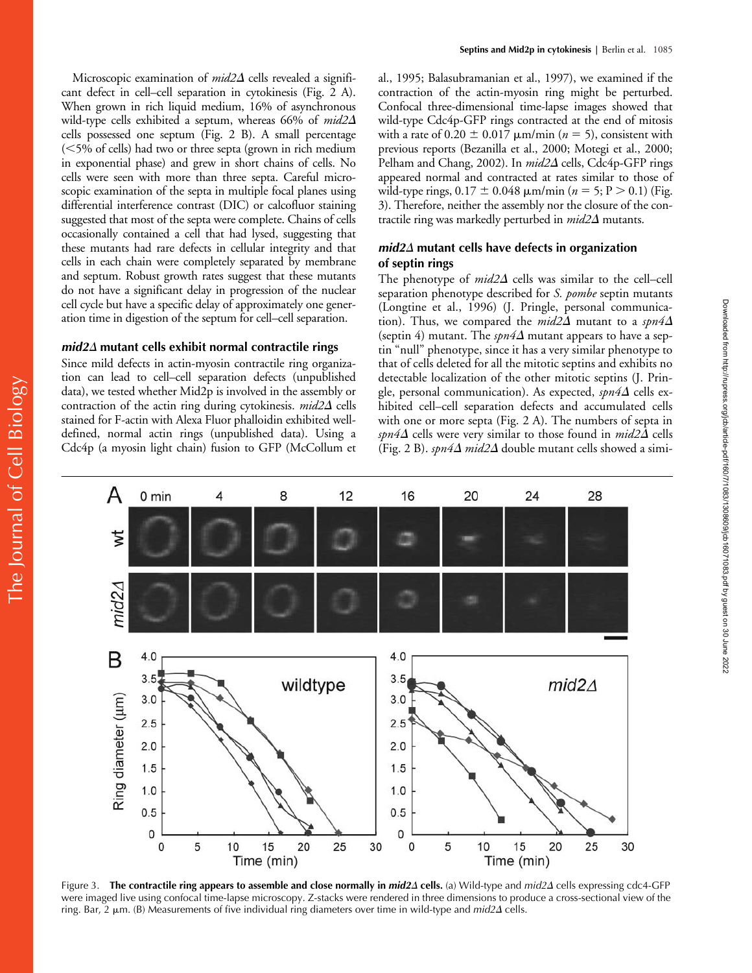Microscopic examination of *mid2∆* cells revealed a significant defect in cell–cell separation in cytokinesis (Fig. 2 A). When grown in rich liquid medium, 16% of asynchronous wild-type cells exhibited a septum, whereas 66% of *mid2* cells possessed one septum (Fig. 2 B). A small percentage (5% of cells) had two or three septa (grown in rich medium in exponential phase) and grew in short chains of cells. No cells were seen with more than three septa. Careful microscopic examination of the septa in multiple focal planes using differential interference contrast (DIC) or calcofluor staining suggested that most of the septa were complete. Chains of cells occasionally contained a cell that had lysed, suggesting that these mutants had rare defects in cellular integrity and that cells in each chain were completely separated by membrane and septum. Robust growth rates suggest that these mutants do not have a significant delay in progression of the nuclear cell cycle but have a specific delay of approximately one generation time in digestion of the septum for cell–cell separation.

# *mid2*- **mutant cells exhibit normal contractile rings**

Since mild defects in actin-myosin contractile ring organization can lead to cell–cell separation defects (unpublished data), we tested whether Mid2p is involved in the assembly or contraction of the actin ring during cytokinesis. *mid2*A cells stained for F-actin with Alexa Fluor phalloidin exhibited welldefined, normal actin rings (unpublished data). Using a Cdc4p (a myosin light chain) fusion to GFP (McCollum et

al., 1995; Balasubramanian et al., 1997), we examined if the contraction of the actin-myosin ring might be perturbed. Confocal three-dimensional time-lapse images showed that wild-type Cdc4p-GFP rings contracted at the end of mitosis with a rate of  $0.20 \pm 0.017 \ \mu m/min$  ( $n = 5$ ), consistent with previous reports (Bezanilla et al., 2000; Motegi et al., 2000; Pelham and Chang, 2002). In *mid2* $\Delta$  cells, Cdc4p-GFP rings appeared normal and contracted at rates similar to those of wild-type rings,  $0.17 \pm 0.048$   $\mu$ m/min ( $n = 5$ ; P  $> 0.1$ ) (Fig. 3). Therefore, neither the assembly nor the closure of the contractile ring was markedly perturbed in *mid2*- mutants.

# *mid2*- **mutant cells have defects in organization of septin rings**

The phenotype of  $mid2\Delta$  cells was similar to the cell–cell separation phenotype described for *S. pombe* septin mutants (Longtine et al., 1996) (J. Pringle, personal communication). Thus, we compared the  $mid2\Delta$  mutant to a  $spn4\Delta$ (septin 4) mutant. The  $\mathfrak{spn4\Delta}$  mutant appears to have a septin "null" phenotype, since it has a very similar phenotype to that of cells deleted for all the mitotic septins and exhibits no detectable localization of the other mitotic septins (J. Pringle, personal communication). As expected, *spn4*Δ cells exhibited cell–cell separation defects and accumulated cells with one or more septa (Fig. 2 A). The numbers of septa in *spn4*- cells were very similar to those found in *mid2*- cells (Fig. 2 B).  $\emph{spn4}\Delta$  *mid*2 $\Delta$  double mutant cells showed a simi-



Figure 3. The contractile ring appears to assemble and close normally in *mid2*Δ cells. (a) Wild-type and *mid2*Δ cells expressing cdc4-GFP were imaged live using confocal time-lapse microscopy. Z-stacks were rendered in three dimensions to produce a cross-sectional view of the ring. Bar, 2 μm. (B) Measurements of five individual ring diameters over time in wild-type and *mid2*Δ cells.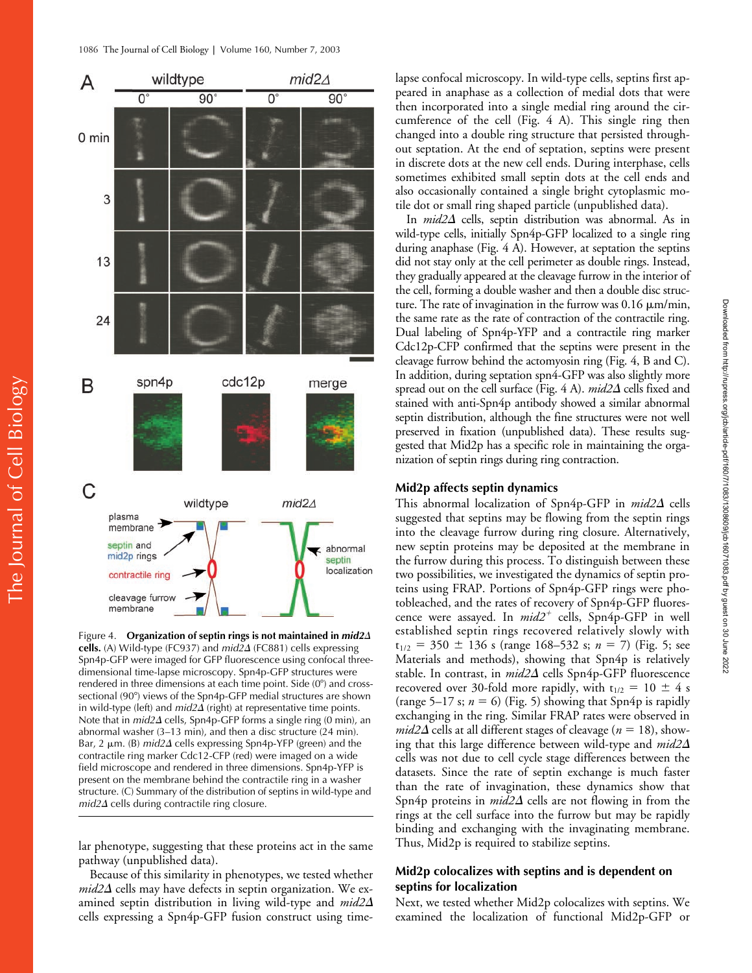

Figure 4. **Organization of septin rings is not maintained in** *mid2* **cells.** (A) Wild-type (FC937) and *mid2*- (FC881) cells expressing Spn4p-GFP were imaged for GFP fluorescence using confocal threedimensional time-lapse microscopy. Spn4p-GFP structures were rendered in three dimensions at each time point. Side (0°) and crosssectional (90°) views of the Spn4p-GFP medial structures are shown in wild-type (left) and *mid2* $\Delta$  (right) at representative time points. Note that in *mid2* $\Delta$  cells, Spn4p-GFP forms a single ring (0 min), an abnormal washer (3–13 min), and then a disc structure (24 min). Bar,  $2 \mu m$ . (B) *mid* $2\Delta$  cells expressing Spn4p-YFP (green) and the contractile ring marker Cdc12-CFP (red) were imaged on a wide field microscope and rendered in three dimensions. Spn4p-YFP is present on the membrane behind the contractile ring in a washer structure. (C) Summary of the distribution of septins in wild-type and mid2 $\Delta$  cells during contractile ring closure.

lar phenotype, suggesting that these proteins act in the same pathway (unpublished data).

Because of this similarity in phenotypes, we tested whether  $mid2\Delta$  cells may have defects in septin organization. We examined septin distribution in living wild-type and *mid2* cells expressing a Spn4p-GFP fusion construct using timelapse confocal microscopy. In wild-type cells, septins first appeared in anaphase as a collection of medial dots that were then incorporated into a single medial ring around the circumference of the cell (Fig. 4 A). This single ring then changed into a double ring structure that persisted throughout septation. At the end of septation, septins were present in discrete dots at the new cell ends. During interphase, cells sometimes exhibited small septin dots at the cell ends and also occasionally contained a single bright cytoplasmic motile dot or small ring shaped particle (unpublished data).

In *mid2* $\Delta$  cells, septin distribution was abnormal. As in wild-type cells, initially Spn4p-GFP localized to a single ring during anaphase (Fig. 4 A). However, at septation the septins did not stay only at the cell perimeter as double rings. Instead, they gradually appeared at the cleavage furrow in the interior of the cell, forming a double washer and then a double disc structure. The rate of invagination in the furrow was  $0.16 \mu m/min$ , the same rate as the rate of contraction of the contractile ring. Dual labeling of Spn4p-YFP and a contractile ring marker Cdc12p-CFP confirmed that the septins were present in the cleavage furrow behind the actomyosin ring (Fig. 4, B and C). In addition, during septation spn4-GFP was also slightly more spread out on the cell surface (Fig. 4 A). *mid2*- cells fixed and stained with anti-Spn4p antibody showed a similar abnormal septin distribution, although the fine structures were not well preserved in fixation (unpublished data). These results suggested that Mid2p has a specific role in maintaining the organization of septin rings during ring contraction.

# **Mid2p affects septin dynamics**

This abnormal localization of Spn4p-GFP in *mid2*∆ cells suggested that septins may be flowing from the septin rings into the cleavage furrow during ring closure. Alternatively, new septin proteins may be deposited at the membrane in the furrow during this process. To distinguish between these two possibilities, we investigated the dynamics of septin proteins using FRAP. Portions of Spn4p-GFP rings were photobleached, and the rates of recovery of Spn4p-GFP fluorescence were assayed. In *mid2<sup>+</sup>* cells, Spn4p-GFP in well established septin rings recovered relatively slowly with  $t_{1/2}$  = 350  $\pm$  136 s (range 168–532 s; *n* = 7) (Fig. 5; see Materials and methods), showing that Spn4p is relatively stable. In contrast, in *mid2∆* cells Spn4p-GFP fluorescence recovered over 30-fold more rapidly, with  $t_{1/2} = 10 \pm 4$  s (range 5–17 s;  $n = 6$ ) (Fig. 5) showing that Spn4p is rapidly exchanging in the ring. Similar FRAP rates were observed in  $mid2\Delta$  cells at all different stages of cleavage ( $n = 18$ ), showing that this large difference between wild-type and *mid2* cells was not due to cell cycle stage differences between the datasets. Since the rate of septin exchange is much faster than the rate of invagination, these dynamics show that Spn4p proteins in *mid2*∆ cells are not flowing in from the rings at the cell surface into the furrow but may be rapidly binding and exchanging with the invaginating membrane. Thus, Mid2p is required to stabilize septins.

# **Mid2p colocalizes with septins and is dependent on septins for localization**

Next, we tested whether Mid2p colocalizes with septins. We examined the localization of functional Mid2p-GFP or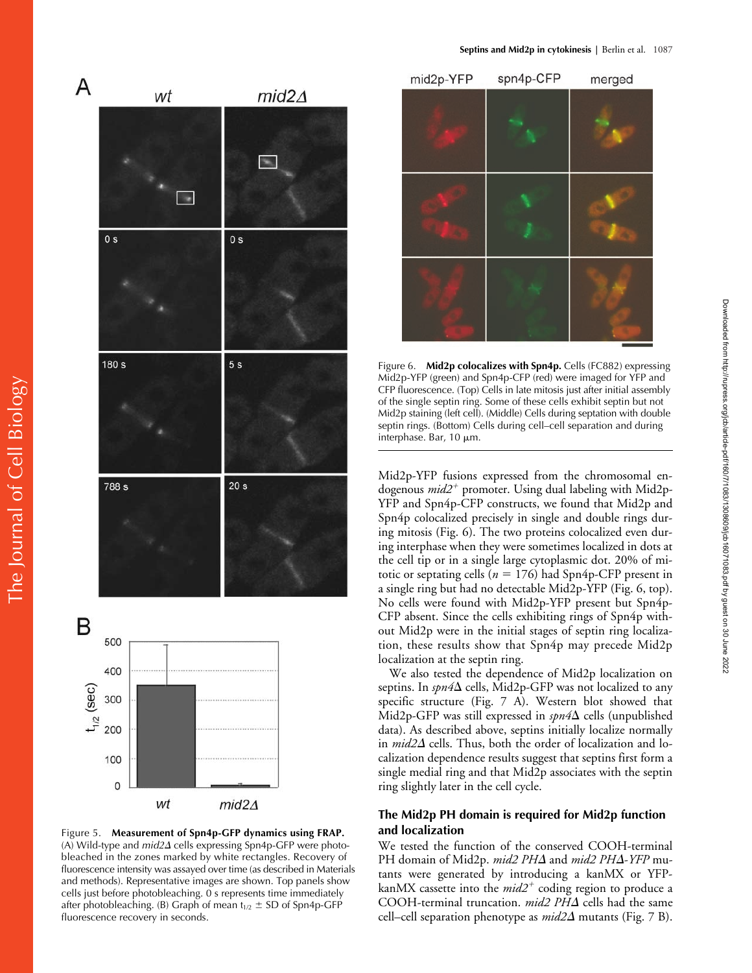

interphase. Bar,  $10 \mu m$ .

Mid2p-YFP fusions expressed from the chromosomal endogenous  $mid2^+$  promoter. Using dual labeling with Mid2p-YFP and Spn4p-CFP constructs, we found that Mid2p and Spn4p colocalized precisely in single and double rings during mitosis (Fig. 6). The two proteins colocalized even during interphase when they were sometimes localized in dots at the cell tip or in a single large cytoplasmic dot. 20% of mitotic or septating cells ( $n = 176$ ) had Spn4p-CFP present in a single ring but had no detectable Mid2p-YFP (Fig. 6, top). No cells were found with Mid2p-YFP present but Spn4p-CFP absent. Since the cells exhibiting rings of Spn4p without Mid2p were in the initial stages of septin ring localization, these results show that Spn4p may precede Mid2p localization at the septin ring.

Mid2p staining (left cell). (Middle) Cells during septation with double septin rings. (Bottom) Cells during cell–cell separation and during

We also tested the dependence of Mid2p localization on septins. In *spn4*∆ cells, Mid2p-GFP was not localized to any specific structure (Fig. 7 A). Western blot showed that Mid2p-GFP was still expressed in *spn4*∆ cells (unpublished data). As described above, septins initially localize normally in *mid2∆* cells. Thus, both the order of localization and localization dependence results suggest that septins first form a single medial ring and that Mid2p associates with the septin ring slightly later in the cell cycle.

# **The Mid2p PH domain is required for Mid2p function and localization**

We tested the function of the conserved COOH-terminal PH domain of Mid2p. *mid2 PH* $\Delta$  and *mid2 PH* $\Delta$ *-YFP* mutants were generated by introducing a kanMX or YFPkanMX cassette into the *mid2<sup>+</sup> coding region to produce* a COOH-terminal truncation. *mid2 PH*- cells had the same cell–cell separation phenotype as *mid2*- mutants (Fig. 7 B).







(A) Wild-type and *mid2* $\Delta$  cells expressing Spn4p-GFP were photobleached in the zones marked by white rectangles. Recovery of fluorescence intensity was assayed over time (as described in Materials and methods). Representative images are shown. Top panels show cells just before photobleaching. 0 s represents time immediately after photobleaching. (B) Graph of mean  $t_{1/2} \pm SD$  of Spn4p-GFP fluorescence recovery in seconds.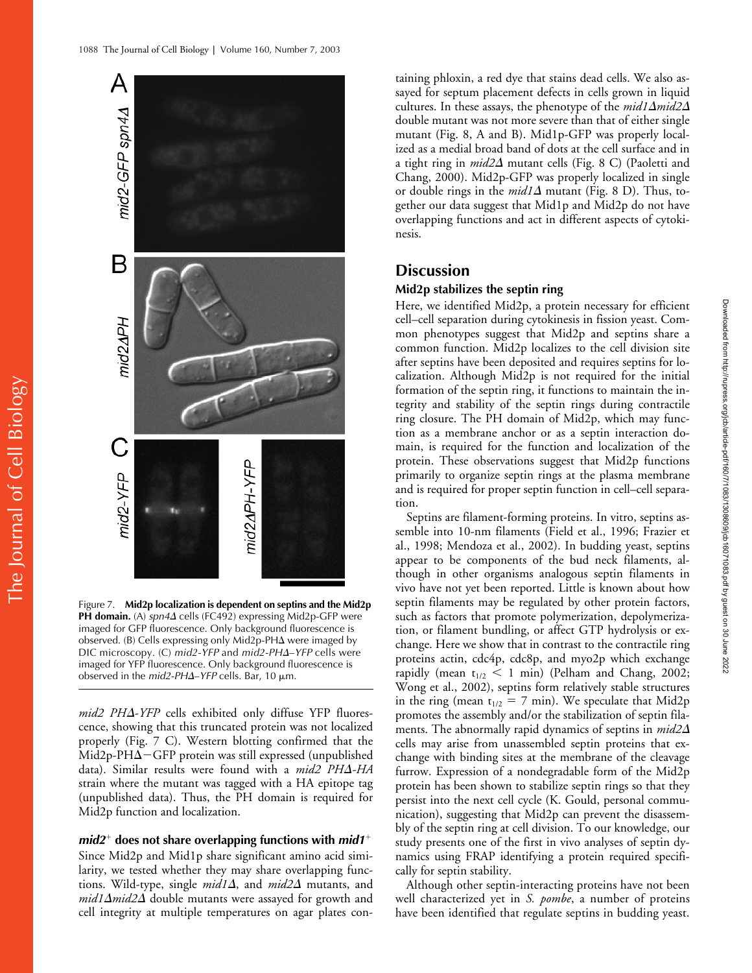

Figure 7. **Mid2p localization is dependent on septins and the Mid2p PH domain.** (A) *spn4∆* cells (FC492) expressing Mid2p-GFP were imaged for GFP fluorescence. Only background fluorescence is observed. (B) Cells expressing only Mid2p-PH $\Delta$  were imaged by DIC microscopy. (C) *mid2-YFP* and *mid2-PH*Δ-*YFP* cells were imaged for YFP fluorescence. Only background fluorescence is observed in the *mid2-PHΔ*–*YFP* cells. Bar, 10 μm.

*mid2 PH*--*YFP* cells exhibited only diffuse YFP fluorescence, showing that this truncated protein was not localized properly (Fig. 7 C). Western blotting confirmed that the  $\rm Mid2p\text{-}PH\Delta{\rm}-GFP$  protein was still expressed (unpublished data). Similar results were found with a *mid2 PH*-*-HA* strain where the mutant was tagged with a HA epitope tag (unpublished data). Thus, the PH domain is required for Mid2p function and localization.

# *mid2*<sup>+</sup> does not share overlapping functions with *mid1*<sup>+</sup>

Since Mid2p and Mid1p share significant amino acid similarity, we tested whether they may share overlapping functions. Wild-type, single *mid1* $\Delta$ , and *mid2* $\Delta$  mutants, and  $mid1\Delta mid2\Delta$  double mutants were assayed for growth and cell integrity at multiple temperatures on agar plates con-

taining phloxin, a red dye that stains dead cells. We also assayed for septum placement defects in cells grown in liquid cultures. In these assays, the phenotype of the *mid1*-*mid2* double mutant was not more severe than that of either single mutant (Fig. 8, A and B). Mid1p-GFP was properly localized as a medial broad band of dots at the cell surface and in a tight ring in *mid2* $\Delta$  mutant cells (Fig. 8 C) (Paoletti and Chang, 2000). Mid2p-GFP was properly localized in single or double rings in the *mid1*  $\Delta$  mutant (Fig. 8 D). Thus, together our data suggest that Mid1p and Mid2p do not have overlapping functions and act in different aspects of cytokinesis.

# **Discussion**

# **Mid2p stabilizes the septin ring**

Here, we identified Mid2p, a protein necessary for efficient cell–cell separation during cytokinesis in fission yeast. Common phenotypes suggest that Mid2p and septins share a common function. Mid2p localizes to the cell division site after septins have been deposited and requires septins for localization. Although Mid2p is not required for the initial formation of the septin ring, it functions to maintain the integrity and stability of the septin rings during contractile ring closure. The PH domain of Mid2p, which may function as a membrane anchor or as a septin interaction domain, is required for the function and localization of the protein. These observations suggest that Mid2p functions primarily to organize septin rings at the plasma membrane and is required for proper septin function in cell–cell separation.

Septins are filament-forming proteins. In vitro, septins assemble into 10-nm filaments (Field et al., 1996; Frazier et al., 1998; Mendoza et al., 2002). In budding yeast, septins appear to be components of the bud neck filaments, although in other organisms analogous septin filaments in vivo have not yet been reported. Little is known about how septin filaments may be regulated by other protein factors, such as factors that promote polymerization, depolymerization, or filament bundling, or affect GTP hydrolysis or exchange. Here we show that in contrast to the contractile ring proteins actin, cdc4p, cdc8p, and myo2p which exchange rapidly (mean  $t_{1/2}$  < 1 min) (Pelham and Chang, 2002; Wong et al., 2002), septins form relatively stable structures in the ring (mean  $t_{1/2} = 7$  min). We speculate that Mid2p promotes the assembly and/or the stabilization of septin filaments. The abnormally rapid dynamics of septins in *mid2* cells may arise from unassembled septin proteins that exchange with binding sites at the membrane of the cleavage furrow. Expression of a nondegradable form of the Mid2p protein has been shown to stabilize septin rings so that they persist into the next cell cycle (K. Gould, personal communication), suggesting that Mid2p can prevent the disassembly of the septin ring at cell division. To our knowledge, our study presents one of the first in vivo analyses of septin dynamics using FRAP identifying a protein required specifically for septin stability.

Although other septin-interacting proteins have not been well characterized yet in *S. pombe*, a number of proteins have been identified that regulate septins in budding yeast.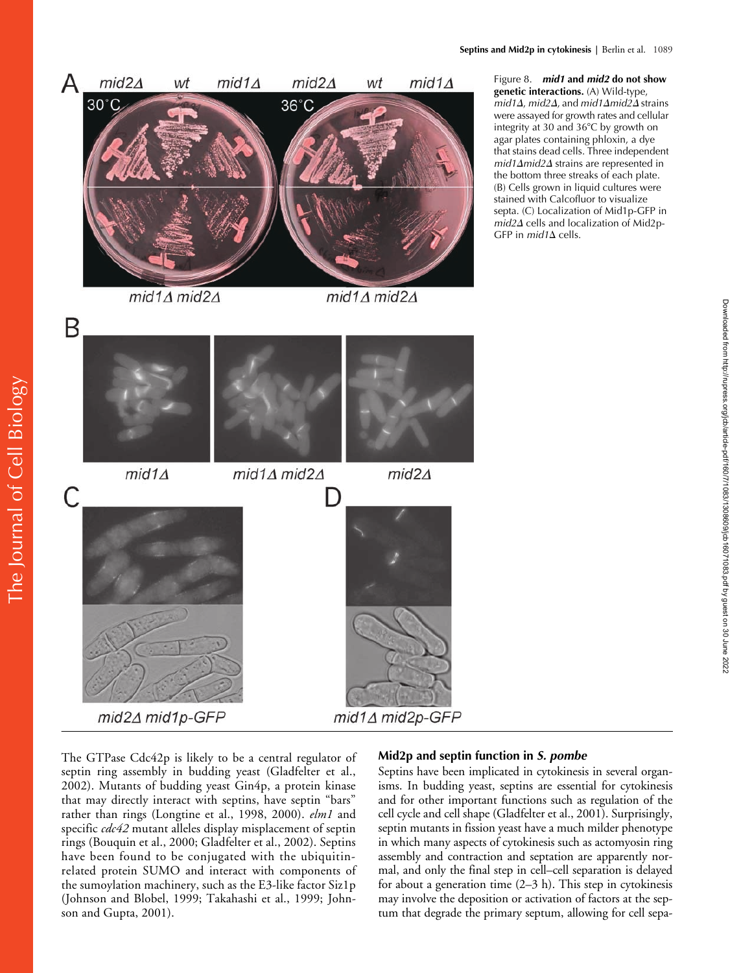

Figure 8. *mid1* **and** *mid2* **do not show genetic interactions.** (A) Wild-type,  $mid1\Delta$ ,  $mid2\Delta$ , and  $mid1\Delta mid2\Delta$  strains were assayed for growth rates and cellular integrity at 30 and 36°C by growth on agar plates containing phloxin, a dye that stains dead cells. Three independent  $mid1\Delta$ *mid2* $\Delta$  strains are represented in the bottom three streaks of each plate. (B) Cells grown in liquid cultures were stained with Calcofluor to visualize septa. (C) Localization of Mid1p-GFP in mid2 $\Delta$  cells and localization of Mid2p-GFP in *mid1*∆ cells.

The GTPase Cdc42p is likely to be a central regulator of septin ring assembly in budding yeast (Gladfelter et al., 2002). Mutants of budding yeast Gin4p, a protein kinase that may directly interact with septins, have septin "bars" rather than rings (Longtine et al., 1998, 2000). *elm1* and specific *cdc42* mutant alleles display misplacement of septin rings (Bouquin et al., 2000; Gladfelter et al., 2002). Septins have been found to be conjugated with the ubiquitinrelated protein SUMO and interact with components of the sumoylation machinery, such as the E3-like factor Siz1p (Johnson and Blobel, 1999; Takahashi et al., 1999; Johnson and Gupta, 2001).

# **Mid2p and septin function in** *S. pombe*

Septins have been implicated in cytokinesis in several organisms. In budding yeast, septins are essential for cytokinesis and for other important functions such as regulation of the cell cycle and cell shape (Gladfelter et al., 2001). Surprisingly, septin mutants in fission yeast have a much milder phenotype in which many aspects of cytokinesis such as actomyosin ring assembly and contraction and septation are apparently normal, and only the final step in cell–cell separation is delayed for about a generation time (2–3 h). This step in cytokinesis may involve the deposition or activation of factors at the septum that degrade the primary septum, allowing for cell sepa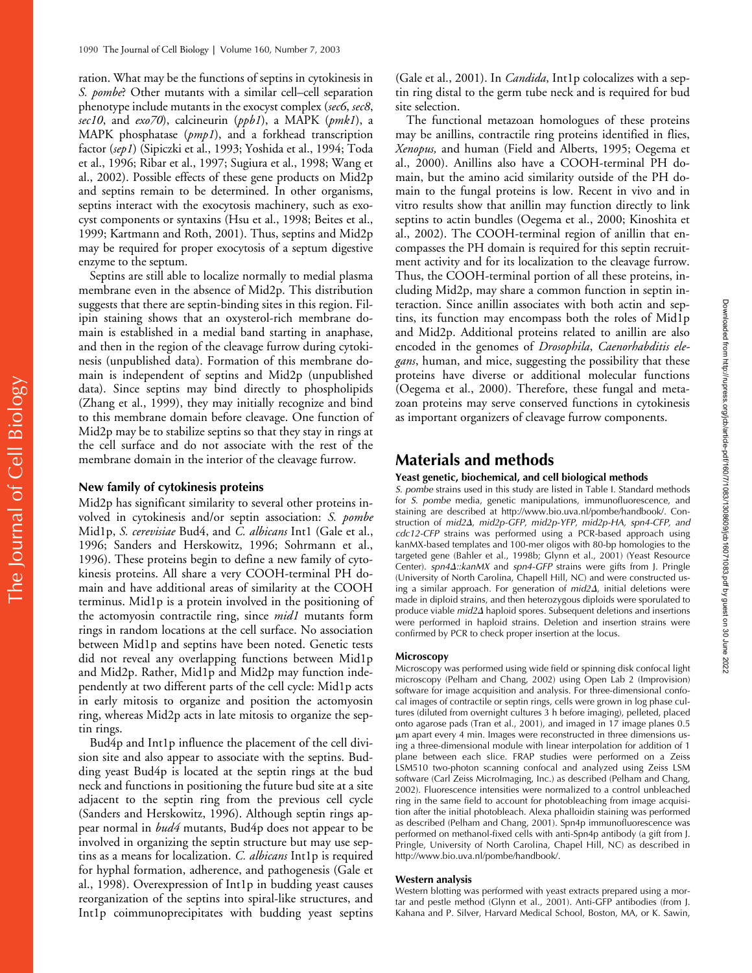ration. What may be the functions of septins in cytokinesis in *S. pombe*? Other mutants with a similar cell–cell separation phenotype include mutants in the exocyst complex (*sec6*, *sec8*, *sec10*, and *exo70*), calcineurin (*ppb1*), a MAPK (*pmk1*), a MAPK phosphatase (*pmp1*), and a forkhead transcription factor (*sep1*) (Sipiczki et al., 1993; Yoshida et al., 1994; Toda et al., 1996; Ribar et al., 1997; Sugiura et al., 1998; Wang et al., 2002). Possible effects of these gene products on Mid2p and septins remain to be determined. In other organisms, septins interact with the exocytosis machinery, such as exocyst components or syntaxins (Hsu et al., 1998; Beites et al., 1999; Kartmann and Roth, 2001). Thus, septins and Mid2p may be required for proper exocytosis of a septum digestive enzyme to the septum.

Septins are still able to localize normally to medial plasma membrane even in the absence of Mid2p. This distribution suggests that there are septin-binding sites in this region. Filipin staining shows that an oxysterol-rich membrane domain is established in a medial band starting in anaphase, and then in the region of the cleavage furrow during cytokinesis (unpublished data). Formation of this membrane domain is independent of septins and Mid2p (unpublished data). Since septins may bind directly to phospholipids (Zhang et al., 1999), they may initially recognize and bind to this membrane domain before cleavage. One function of Mid2p may be to stabilize septins so that they stay in rings at the cell surface and do not associate with the rest of the membrane domain in the interior of the cleavage furrow.

# **New family of cytokinesis proteins**

Mid2p has significant similarity to several other proteins involved in cytokinesis and/or septin association: *S. pombe* Mid1p, *S. cerevisiae* Bud4, and *C. albicans* Int1 (Gale et al., 1996; Sanders and Herskowitz, 1996; Sohrmann et al., 1996). These proteins begin to define a new family of cytokinesis proteins. All share a very COOH-terminal PH domain and have additional areas of similarity at the COOH terminus. Mid1p is a protein involved in the positioning of the actomyosin contractile ring, since *mid1* mutants form rings in random locations at the cell surface. No association between Mid1p and septins have been noted. Genetic tests did not reveal any overlapping functions between Mid1p and Mid2p. Rather, Mid1p and Mid2p may function independently at two different parts of the cell cycle: Mid1p acts in early mitosis to organize and position the actomyosin ring, whereas Mid2p acts in late mitosis to organize the septin rings.

Bud4p and Int1p influence the placement of the cell division site and also appear to associate with the septins. Budding yeast Bud4p is located at the septin rings at the bud neck and functions in positioning the future bud site at a site adjacent to the septin ring from the previous cell cycle (Sanders and Herskowitz, 1996). Although septin rings appear normal in *bud4* mutants, Bud4p does not appear to be involved in organizing the septin structure but may use septins as a means for localization. *C. albicans* Int1p is required for hyphal formation, adherence, and pathogenesis (Gale et al., 1998). Overexpression of Int1p in budding yeast causes reorganization of the septins into spiral-like structures, and Int1p coimmunoprecipitates with budding yeast septins

(Gale et al., 2001). In *Candida*, Int1p colocalizes with a septin ring distal to the germ tube neck and is required for bud site selection.

The functional metazoan homologues of these proteins may be anillins, contractile ring proteins identified in flies, *Xenopus,* and human (Field and Alberts, 1995; Oegema et al., 2000). Anillins also have a COOH-terminal PH domain, but the amino acid similarity outside of the PH domain to the fungal proteins is low. Recent in vivo and in vitro results show that anillin may function directly to link septins to actin bundles (Oegema et al., 2000; Kinoshita et al., 2002). The COOH-terminal region of anillin that encompasses the PH domain is required for this septin recruitment activity and for its localization to the cleavage furrow. Thus, the COOH-terminal portion of all these proteins, including Mid2p, may share a common function in septin interaction. Since anillin associates with both actin and septins, its function may encompass both the roles of Mid1p and Mid2p. Additional proteins related to anillin are also encoded in the genomes of *Drosophila*, *Caenorhabditis elegans*, human, and mice, suggesting the possibility that these proteins have diverse or additional molecular functions (Oegema et al., 2000). Therefore, these fungal and metazoan proteins may serve conserved functions in cytokinesis as important organizers of cleavage furrow components.

# **Materials and methods**

## **Yeast genetic, biochemical, and cell biological methods**

*S. pombe* strains used in this study are listed in Table I. Standard methods for *S. pombe* media, genetic manipulations, immunofluorescence, and staining are described at http://www.bio.uva.nl/pombe/handbook/. Construction of *mid2Δ, mid2p-GFP, mid2p-YFP, mid2p-HA, spn4-CFP, and cdc12-CFP* strains was performed using a PCR-based approach using kanMX-based templates and 100-mer oligos with 80-bp homologies to the targeted gene (Bahler et al., 1998b; Glynn et al., 2001) (Yeast Resource Center). *spn4* $\Delta$ *::kanMX* and *spn4-GFP* strains were gifts from J. Pringle (University of North Carolina, Chapell Hill, NC) and were constructed using a similar approach. For generation of *mid2*-, initial deletions were made in diploid strains, and then heterozygous diploids were sporulated to produce viable *mid2∆* haploid spores. Subsequent deletions and insertions were performed in haploid strains. Deletion and insertion strains were confirmed by PCR to check proper insertion at the locus.

#### **Microscopy**

Microscopy was performed using wide field or spinning disk confocal light microscopy (Pelham and Chang, 2002) using Open Lab 2 (Improvision) software for image acquisition and analysis. For three-dimensional confocal images of contractile or septin rings, cells were grown in log phase cultures (diluted from overnight cultures 3 h before imaging), pelleted, placed onto agarose pads (Tran et al., 2001), and imaged in 17 image planes 0.5 m apart every 4 min. Images were reconstructed in three dimensions using a three-dimensional module with linear interpolation for addition of 1 plane between each slice. FRAP studies were performed on a Zeiss LSM510 two-photon scanning confocal and analyzed using Zeiss LSM software (Carl Zeiss MicroImaging, Inc.) as described (Pelham and Chang, 2002). Fluorescence intensities were normalized to a control unbleached ring in the same field to account for photobleaching from image acquisition after the initial photobleach. Alexa phalloidin staining was performed as described (Pelham and Chang, 2001). Spn4p immunofluorescence was performed on methanol-fixed cells with anti-Spn4p antibody (a gift from J. Pringle, University of North Carolina, Chapel Hill, NC) as described in http://www.bio.uva.nl/pombe/handbook/.

## **Western analysis**

Western blotting was performed with yeast extracts prepared using a mortar and pestle method (Glynn et al., 2001). Anti-GFP antibodies (from J. Kahana and P. Silver, Harvard Medical School, Boston, MA, or K. Sawin,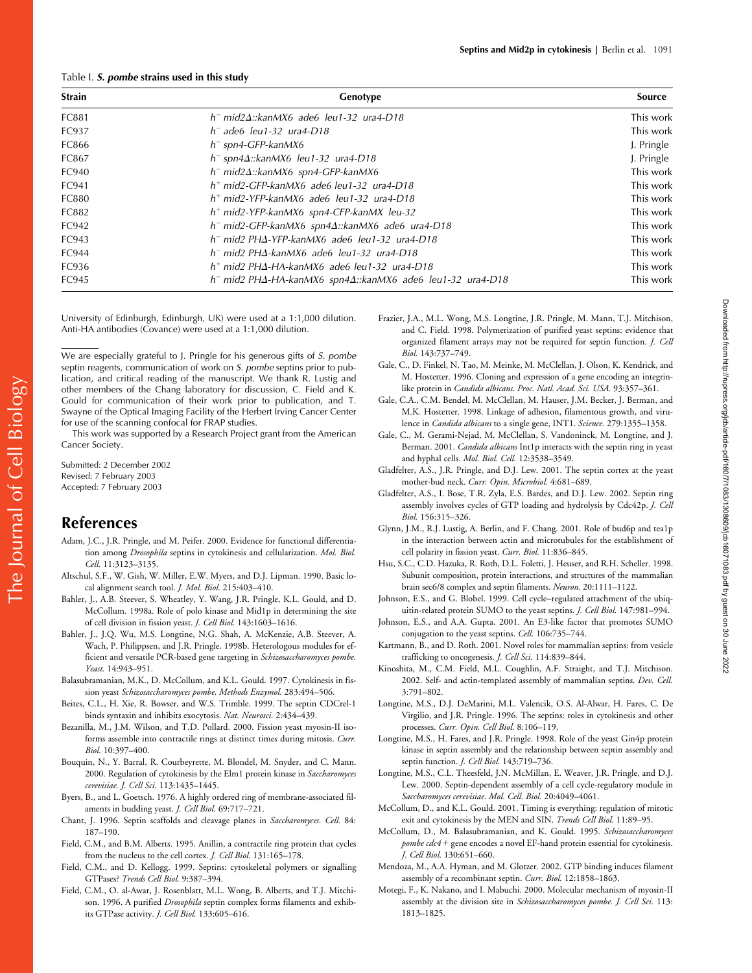#### Table I. *S. pombe* **strains used in this study**

| <b>Strain</b> | Genotype                                                                       | Source     |
|---------------|--------------------------------------------------------------------------------|------------|
| FC881         | $h^-$ mid $2\Delta$ :: $\text{kanMX6}$ ade6 leu1-32 ura4-D18                   | This work  |
| FC937         | $h^-$ ade6 leu1-32 ura4-D18                                                    | This work  |
| FC866         | $h^-$ spn4-GFP-kanMX6                                                          | J. Pringle |
| FC867         | $h^-$ spn4 $\Delta$ :: $k$ anMX6 leu1-32 ura4-D18                              | J. Pringle |
| FC940         | $h^-$ mid $2\Delta$ :: $\text{kanMX6}$ spn4-GFP- $\text{kanMX6}$               | This work  |
| FC941         | $h+$ mid2-GFP-kanMX6 ade6 leu1-32 ura4-D18                                     | This work  |
| <b>FC880</b>  | $h+$ mid2-YFP-kanMX6 ade6 leu1-32 ura4-D18                                     | This work  |
| FC882         | $h+$ mid2-YFP-kanMX6 spn4-CFP-kanMX leu-32                                     | This work  |
| FC942         | $h^-$ mid2-GFP-kanMX6 spn4 $\Delta$ ::kanMX6 ade6 ura4-D18                     | This work  |
| FC943         | $h^-$ mid2 PH $\Delta$ -YFP-kanMX6 ade6 leu1-32 ura4-D18                       | This work  |
| FC944         | $h^-$ mid2 PH $\Delta$ -kanMX6 ade6 leu1-32 ura4-D18                           | This work  |
| FC936         | $h+$ mid2 PH $\Delta$ -HA-kanMX6 ade6 leu1-32 ura4-D18                         | This work  |
| FC945         | $h^-$ mid2 PH $\Delta$ -HA-kanMX6 spn4 $\Delta$ ::kanMX6 ade6 leu1-32 ura4-D18 | This work  |

University of Edinburgh, Edinburgh, UK) were used at a 1:1,000 dilution. Anti-HA antibodies (Covance) were used at a 1:1,000 dilution.

We are especially grateful to J. Pringle for his generous gifts of *S. pombe* septin reagents, communication of work on *S. pombe* septins prior to publication, and critical reading of the manuscript. We thank R. Lustig and other members of the Chang laboratory for discussion, C. Field and K. Gould for communication of their work prior to publication, and T. Swayne of the Optical Imaging Facility of the Herbert Irving Cancer Center for use of the scanning confocal for FRAP studies.

This work was supported by a Research Project grant from the American Cancer Society.

Submitted: 2 December 2002 Revised: 7 February 2003 Accepted: 7 February 2003

# **References**

- Adam, J.C., J.R. Pringle, and M. Peifer. 2000. Evidence for functional differentiation among *Drosophila* septins in cytokinesis and cellularization. *Mol. Biol. Cell.* 11:3123–3135.
- Altschul, S.F., W. Gish, W. Miller, E.W. Myers, and D.J. Lipman. 1990. Basic local alignment search tool. *J. Mol. Biol.* 215:403–410.
- Bahler, J., A.B. Steever, S. Wheatley, Y. Wang, J.R. Pringle, K.L. Gould, and D. McCollum. 1998a. Role of polo kinase and Mid1p in determining the site of cell division in fission yeast. *J. Cell Biol.* 143:1603–1616.
- Bahler, J., J.Q. Wu, M.S. Longtine, N.G. Shah, A. McKenzie, A.B. Steever, A. Wach, P. Philippsen, and J.R. Pringle. 1998b. Heterologous modules for efficient and versatile PCR-based gene targeting in *Schizosaccharomyces pombe. Yeast.* 14:943–951.
- Balasubramanian, M.K., D. McCollum, and K.L. Gould. 1997. Cytokinesis in fission yeast *Schizosaccharomyces pombe*. *Methods Enzymol.* 283:494–506.
- Beites, C.L., H. Xie, R. Bowser, and W.S. Trimble. 1999. The septin CDCrel-1 binds syntaxin and inhibits exocytosis. *Nat. Neurosci.* 2:434–439.
- Bezanilla, M., J.M. Wilson, and T.D. Pollard. 2000. Fission yeast myosin-II isoforms assemble into contractile rings at distinct times during mitosis. *Curr. Biol.* 10:397–400.
- Bouquin, N., Y. Barral, R. Courbeyrette, M. Blondel, M. Snyder, and C. Mann. 2000. Regulation of cytokinesis by the Elm1 protein kinase in *Saccharomyces cerevisiae. J. Cell Sci.* 113:1435–1445.
- Byers, B., and L. Goetsch. 1976. A highly ordered ring of membrane-associated filaments in budding yeast. *J. Cell Biol.* 69:717–721.
- Chant, J. 1996. Septin scaffolds and cleavage planes in *Saccharomyces*. *Cell.* 84: 187–190.
- Field, C.M., and B.M. Alberts. 1995. Anillin, a contractile ring protein that cycles from the nucleus to the cell cortex. *J. Cell Biol.* 131:165–178.
- Field, C.M., and D. Kellogg. 1999. Septins: cytoskeletal polymers or signalling GTPases? *Trends Cell Biol.* 9:387–394.
- Field, C.M., O. al-Awar, J. Rosenblatt, M.L. Wong, B. Alberts, and T.J. Mitchison. 1996. A purified *Drosophila* septin complex forms filaments and exhibits GTPase activity. *J. Cell Biol.* 133:605–616.
- Frazier, J.A., M.L. Wong, M.S. Longtine, J.R. Pringle, M. Mann, T.J. Mitchison, and C. Field. 1998. Polymerization of purified yeast septins: evidence that organized filament arrays may not be required for septin function. *J. Cell Biol.* 143:737–749.
- Gale, C., D. Finkel, N. Tao, M. Meinke, M. McClellan, J. Olson, K. Kendrick, and M. Hostetter. 1996. Cloning and expression of a gene encoding an integrinlike protein in *Candida albicans*. *Proc. Natl. Acad. Sci. USA.* 93:357–361.
- Gale, C.A., C.M. Bendel, M. McClellan, M. Hauser, J.M. Becker, J. Berman, and M.K. Hostetter. 1998. Linkage of adhesion, filamentous growth, and virulence in *Candida albicans* to a single gene, INT1. *Science.* 279:1355–1358.
- Gale, C., M. Gerami-Nejad, M. McClellan, S. Vandoninck, M. Longtine, and J. Berman. 2001. *Candida albicans* Int1p interacts with the septin ring in yeast and hyphal cells. *Mol. Biol. Cell.* 12:3538–3549.
- Gladfelter, A.S., J.R. Pringle, and D.J. Lew. 2001. The septin cortex at the yeast mother-bud neck. *Curr. Opin. Microbiol.* 4:681–689.
- Gladfelter, A.S., I. Bose, T.R. Zyla, E.S. Bardes, and D.J. Lew. 2002. Septin ring assembly involves cycles of GTP loading and hydrolysis by Cdc42p. *J. Cell Biol.* 156:315–326.
- Glynn, J.M., R.J. Lustig, A. Berlin, and F. Chang. 2001. Role of bud6p and tea1p in the interaction between actin and microtubules for the establishment of cell polarity in fission yeast. *Curr. Biol.* 11:836–845.
- Hsu, S.C., C.D. Hazuka, R. Roth, D.L. Foletti, J. Heuser, and R.H. Scheller. 1998. Subunit composition, protein interactions, and structures of the mammalian brain sec6/8 complex and septin filaments. *Neuron.* 20:1111–1122.
- Johnson, E.S., and G. Blobel. 1999. Cell cycle–regulated attachment of the ubiquitin-related protein SUMO to the yeast septins. *J. Cell Biol.* 147:981–994.
- Johnson, E.S., and A.A. Gupta. 2001. An E3-like factor that promotes SUMO conjugation to the yeast septins. *Cell.* 106:735–744.
- Kartmann, B., and D. Roth. 2001. Novel roles for mammalian septins: from vesicle trafficking to oncogenesis. *J. Cell Sci.* 114:839–844.
- Kinoshita, M., C.M. Field, M.L. Coughlin, A.F. Straight, and T.J. Mitchison. 2002. Self- and actin-templated assembly of mammalian septins. *Dev. Cell.* 3:791–802.
- Longtine, M.S., D.J. DeMarini, M.L. Valencik, O.S. Al-Alwar, H. Fares, C. De Virgilio, and J.R. Pringle. 1996. The septins: roles in cytokinesis and other processes. *Curr. Opin. Cell Biol.* 8:106–119.
- Longtine, M.S., H. Fares, and J.R. Pringle. 1998. Role of the yeast Gin4p protein kinase in septin assembly and the relationship between septin assembly and septin function. *J. Cell Biol.* 143:719–736.
- Longtine, M.S., C.L. Theesfeld, J.N. McMillan, E. Weaver, J.R. Pringle, and D.J. Lew. 2000. Septin-dependent assembly of a cell cycle-regulatory module in *Saccharomyces cerevisiae*. *Mol. Cell. Biol.* 20:4049–4061.
- McCollum, D., and K.L. Gould. 2001. Timing is everything: regulation of mitotic exit and cytokinesis by the MEN and SIN. *Trends Cell Biol.* 11:89–95.
- McCollum, D., M. Balasubramanian, and K. Gould. 1995. *Schizosaccharomyces* pombe cdc4+ gene encodes a novel EF-hand protein essential for cytokinesis. *J. Cell Biol.* 130:651–660.
- Mendoza, M., A.A. Hyman, and M. Glotzer. 2002. GTP binding induces filament assembly of a recombinant septin. *Curr. Biol.* 12:1858–1863.
- Motegi, F., K. Nakano, and I. Mabuchi. 2000. Molecular mechanism of myosin-II assembly at the division site in *Schizosaccharomyces pombe. J. Cell Sci.* 113: 1813–1825.